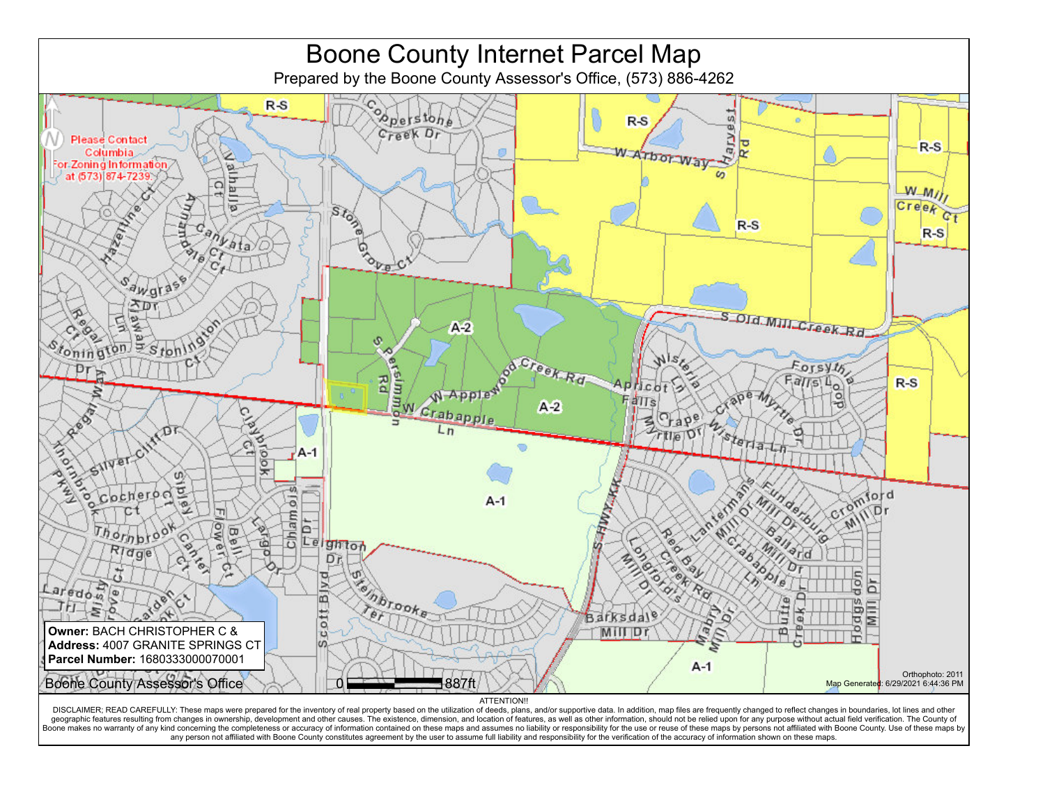